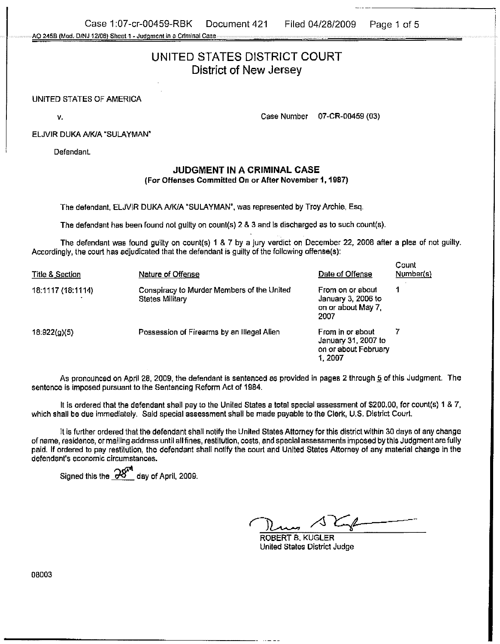Case 1:07-cr-00459-RBK Document 421 Filed 04/28/2009 Page 1 of 5 **A0 2458** (Mod. **DiNJ 12/05) Sheet 1.** Judqmcnl **m a** Crlnllnal **Case** 

# UNITED **STATES** DISTRICT COURT District of **New** Jersey

### UNITED STATES OF AMERICA

v. 2002. The contract of the contract of the case Number 07-CR-00459 (03)

#### ELJVIR DUKA A/K/A "SULAYMAN"

Defendant

# **JUDGMENT IN A CRIMINAL CASE**  (For Offenses Committed On or After November 1,1987)

The defendant, ELJVIR DUKA A/K/A "SULAYMAN", was represented by Troy Archie, Esq.

The defendant has been found not guilty on counl(s) 2 8 3 and is discharged as to such count(s).

The defendant was found guilty on count(s) 1 & 7 by a jury verdict on December 22, 2008 after a plea of not guilty. Accordingly, the court has adjudicated that the defendant is guilty of the following offense(s):

| Title & Section   | Nature of Offense                                                    | Date of Offense                                                           | Count<br>Number(s) |
|-------------------|----------------------------------------------------------------------|---------------------------------------------------------------------------|--------------------|
| 18:1117 (18:1114) | Conspiracy to Murder Members of the United<br><b>States Military</b> | From on or about<br>January 3, 2006 to<br>on or about May 7.<br>2007      |                    |
| 18:922(q)(5)      | Possession of Firearms by an Illegal Alien                           | From in or about<br>January 31, 2007 to<br>on or about February<br>1.2007 |                    |

As pronounced on April 28, 2009. the defendant is sentenced as provided in pages 2 through **5** of this Judgment. The sentence is imposed pursuant to the Sentencing Reform Act of 1984.

It is ordered that the defendant shall pay to the United States a total special assessment of \$200.00, for count(s) 1 & 7, which shall be due immediately. Said special assessment shall be made payable to the Clerk, U.S. District Court.

It is further ordered that the defendant shall notify the United States Attorney for this district within 30 days of any change of name, residence, or mailing address until all fines, restitution, costs, and special assessments imposed by this Judgment are fully paid. If ordered to pay restitution, the defendant shall notify the court and United States Attorney of any material change in the . . defendant's economic circumstances.

Signed this the  $-28$ <sup>th</sup> day of April, 2009.

Court and United States A<br>
ROBERT B, KUGLER<br>
United States District

ROBERT B. KUGLER United States District Judge

08003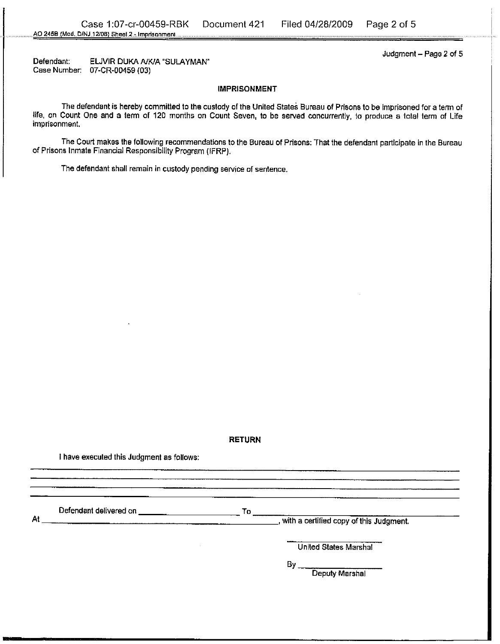Defendant: ELJVIR DUKA A/K/A "SULAYMAN" Case Number: 07-CR-00459 (03)

Judgment  $-$  Page 2 of 5

#### IMPRISONMENT

The defendant is hereby committed to the custody of the United States Bureau of Prisons to be imprisoned for a term of life, on Count One and a term of 120 months on Count Seven, to be served concurrently, to produce a total ten of **Life**  imprisonment.

The Court makes the following recommendations to the Bureau of Prisons: That the defendant participate in the Bureau of Prisons Inmate Financial Responsibility Program (IFRP).

The defendant shall remain in custody pending service of sentence.

#### RETURN

**i** have executed this Judgment as follows:

Defendant delivered on To

At , with a certified copy of this Judgment.

United States Marshal

 $By$ <sub>--</sub> Deputy Marshal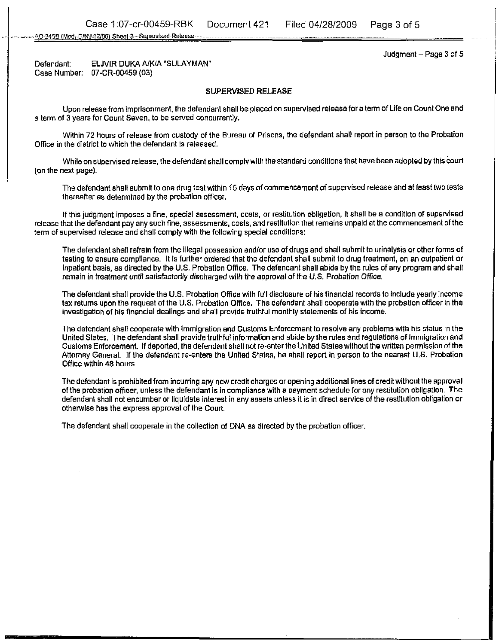**A0 458** (Mod. OlNJ **It1081 Shael3** - **Supsrwl~d Releese** 

Judgment  $-$  Page 3 of 5

Defendant: ELJVIR DUKA A/K/A "SULAYMAN" Case Number: D7-CR-00459 (03)

## **SUPERVISED RELEASE**

Upon release from imprisonment, the defendant shall be placed on supervised release for a term of Life on Count One and a term of 3 years for Count Seven, to be served concurrently.

Within 72 hours of release from custody of the Bureau of Prisons, the defendant shall report in person to the Probation Office in the district to which the defendant is released.

While onsupervised release, the defendant shall comply with the standard conditions that have been adopted by this court (on the next page).

The defendant shall submit to one drug test within **15** days of commencement of supervised release and at least two tests thereafter as determined by the probation officer.

If this judgment imposes a fine, special assessment, costs, or restitution obligation, it shail be a condition of supervised release that the defendant pay any such fine, assessments, costs, and restitution that remains unpaid at the commencement of the term of supervised release and shall comply with the following special conditions:

The defendant shall refrain from the illegal possession andlor use of drugs and shall submit to urinalysis or other forms of testing to ensure compliance. It is further ordered that the defendant shall submit to drug treatment, on an outpatient or inpatient basis, as directed by the U.S. Probation Office. The defendant shall abide by the rules of any program and shall remain in treatment until satisfactorily discharged with the approval of the U.S. Probation Offica.

The defendant shall provide the U.S. Probation Office with full disclosure of his financial records to include yearly income tax returns upon the request of the U.S. Probation Office. The defendant shall cooperate with the probation officer in the investigation of his financial dealings and shall provide truthful monthly statements of his income.

The defendant shall cooperate with Immigration and Customs Enforcement to resolve any problems with his status in the United States, The defendant shall provide truthful information and abide by the rules and regulations of Immigration and Customs Enforcement. If deported, the defendant shail not re-enterthe United States without the written permission of the Attorney General. if the defendant re-enters the United States, he shall report in person to the nearest U.S. Probation Ofice within 48 hours.

The defendant is prohibited from incurring any new credit charges or opening additional lines of creditwithout the approval of the probation ofiicer, unless the defendant is in compliance with a payment schedule for any restitution obligation. The defendant shall not encumber or liquidate interest in any assets unless it is in direct service of the restiiution obligation or otherwise has the express approval of the Court.

The defendant shali cooperate in the collection of DNA as directed by the probation officer.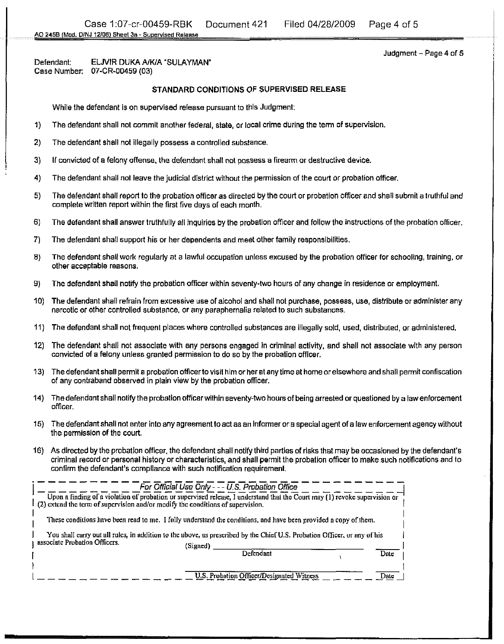Defendant: ELJVIR DUKA **A/WA 'SULAYMAN'**  Case Number: 07-CR-00459 (03)

# STANDARD CONDITIONS **OF** SUPERVISED RELEASE

While the defendant is on supervised release pursuant to this Judgment:

- I) The defendant shall not commit another federal, state, or local crime during the term of supervision
- **2)** The defendant shall not illegally possess a controlled substance
- **3)** If convicted of a felony offense, the defendant shalt not possess a fiream or destructive device.
- 4) The defendant shall not leave the judicial district without the permission of the court or probation officer.
- **5)** The defendant shall report to the probation olficer as directed by the court or probation officer and shall submit a trulhful and complete written report within the first five days of each monlh.
- **6)** The defendant shall answer truthfully all inquiries by the probation officer and follow the instructions of the probation officer.
- **7)** The defendant shall support his or her dependents and meet other family responslbiiities.
- **8)** The defendant shall work regularly at a lawful occupation unless excused by the probation officer for schooling, training, or other acceptable reasons.
- 9) The defendant shall notify the probation officer within seventy-two hours of any change in residence or employmenl.
- 10) The defendant shall refrain from excessive use of alcohol and shall not purchase, possess, use, distribute or administer any narcotic or other controlled substance, or any paraphernalia related to such substances.
- 11) The defendant shall not frequenl places where controlled substances are illegally sold, used, distributed, or administered.
- 12) The defendant shall not associate with any persons engaged in criminal activity, and shall not associate with any person convicted of a felony unless granted permission to do so by the probation offlcar.
- 13) The defendant shall permit a probation officer to visit him or her at any time at home or elsewhere and shall permit confiscation of any contraband observed in plain view by the probation officer.
- 14) The defendant shall notify the probation officer within seventy-two hours of being arrested or questioned by a law enforcement officer.
- 15) The defendant shall not enter into any agreement to act as an informer or a special agent of a law enforcement agency without the permission of the court.
- 16) As directed by the probation officer, the defendant shall notify third parties of risks that may be occasioned by the defendant's criminal record or personal history or characteristics, and shall permit the probation officer to make such notifications and to confirm the defendant's compliance with such notification requirement.

| $(2)$ extend the term of supervision and/or modify the conditions of supervision. | For Official Use Only --- U.S. Probation Office<br>Upon a finding of a violation of probation or supervised release, I understand that the Court may (1) revoke supervision or |                  |  |
|-----------------------------------------------------------------------------------|--------------------------------------------------------------------------------------------------------------------------------------------------------------------------------|------------------|--|
|                                                                                   | These conditions have been read to me. I fully understand the conditions, and have been provided a copy of them.                                                               |                  |  |
| associate Probation Officers.                                                     | You shall carry out all rules, in addition to the above, as prescribed by the Chief U.S. Probation Officer, or any of his<br>(Signed)<br>Defendant                             | Date             |  |
|                                                                                   | U.S. Probation Officer/Designated Witness                                                                                                                                      | $_{\text{Dalg}}$ |  |

Judgment - Page 4 of 5